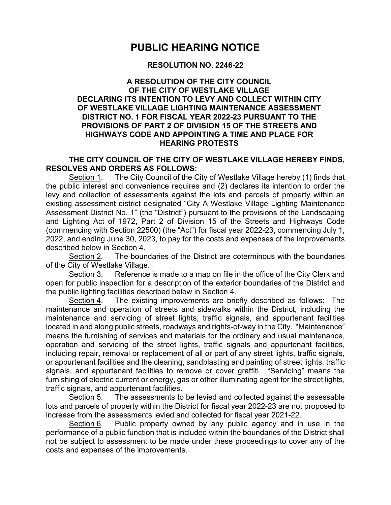## **PUBLIC HEARING NOTICE**

## **RESOLUTION NO. 2246-22**

## **A RESOLUTION OF THE CITY COUNCIL OF THE CITY OF WESTLAKE VILLAGE DECLARING ITS INTENTION TO LEVY AND COLLECT WITHIN CITY OF WESTLAKE VILLAGE LIGHTING MAINTENANCE ASSESSMENT DISTRICT NO. 1 FOR FISCAL YEAR 2022-23 PURSUANT TO THE PROVISIONS OF PART 2 OF DIVISION 15 OF THE STREETS AND HIGHWAYS CODE AND APPOINTING A TIME AND PLACE FOR HEARING PROTESTS**

## **THE CITY COUNCIL OF THE CITY OF WESTLAKE VILLAGE HEREBY FINDS, RESOLVES AND ORDERS AS FOLLOWS:**

Section 1. The City Council of the City of Westlake Village hereby (1) finds that the public interest and convenience requires and (2) declares its intention to order the levy and collection of assessments against the lots and parcels of property within an existing assessment district designated "City A Westlake Village Lighting Maintenance Assessment District No. 1" (the "District") pursuant to the provisions of the Landscaping and Lighting Act of 1972, Part 2 of Division 15 of the Streets and Highways Code (commencing with Section 22500) (the "Act") for fiscal year 2022-23, commencing July 1, 2022, and ending June 30, 2023, to pay for the costs and expenses of the improvements described below in Section 4.

Section 2. The boundaries of the District are coterminous with the boundaries of the City of Westlake Village.

Section 3. Reference is made to a map on file in the office of the City Clerk and open for public inspection for a description of the exterior boundaries of the District and the public lighting facilities described below in Section 4.

Section 4. The existing improvements are briefly described as follows: The maintenance and operation of streets and sidewalks within the District, including the maintenance and servicing of street lights, traffic signals, and appurtenant facilities located in and along public streets, roadways and rights-of-way in the City. "Maintenance" means the furnishing of services and materials for the ordinary and usual maintenance, operation and servicing of the street lights, traffic signals and appurtenant facilities, including repair, removal or replacement of all or part of any street lights, traffic signals, or appurtenant facilities and the cleaning, sandblasting and painting of street lights, traffic signals, and appurtenant facilities to remove or cover graffiti. "Servicing" means the furnishing of electric current or energy, gas or other illuminating agent for the street lights, traffic signals, and appurtenant facilities.

Section 5. The assessments to be levied and collected against the assessable lots and parcels of property within the District for fiscal year 2022-23 are not proposed to increase from the assessments levied and collected for fiscal year 2021-22.

Section 6. Public property owned by any public agency and in use in the performance of a public function that is included within the boundaries of the District shall not be subject to assessment to be made under these proceedings to cover any of the costs and expenses of the improvements.